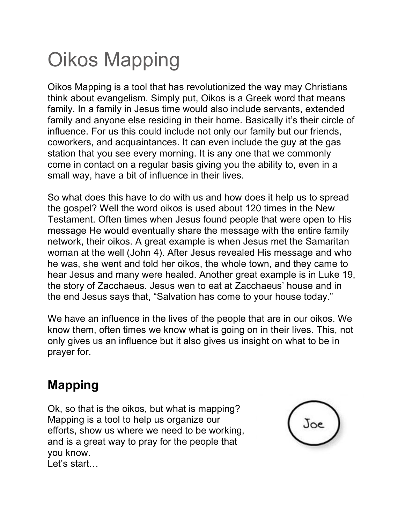## Oikos Mapping

Oikos Mapping is a tool that has revolutionized the way may Christians think about evangelism. Simply put, Oikos is a Greek word that means family. In a family in Jesus time would also include servants, extended family and anyone else residing in their home. Basically it's their circle of influence. For us this could include not only our family but our friends, coworkers, and acquaintances. It can even include the guy at the gas station that you see every morning. It is any one that we commonly come in contact on a regular basis giving you the ability to, even in a small way, have a bit of influence in their lives.

So what does this have to do with us and how does it help us to spread the gospel? Well the word oikos is used about 120 times in the New Testament. Often times when Jesus found people that were open to His message He would eventually share the message with the entire family network, their oikos. A great example is when Jesus met the Samaritan woman at the well (John 4). After Jesus revealed His message and who he was, she went and told her oikos, the whole town, and they came to hear Jesus and many were healed. Another great example is in Luke 19, the story of Zacchaeus. Jesus wen to eat at Zacchaeus' house and in the end Jesus says that, "Salvation has come to your house today."

We have an influence in the lives of the people that are in our oikos. We know them, often times we know what is going on in their lives. This, not only gives us an influence but it also gives us insight on what to be in prayer for.

## **Mapping**

Ok, so that is the oikos, but what is mapping? Mapping is a tool to help us organize our efforts, show us where we need to be working, and is a great way to pray for the people that you know. Let's start…

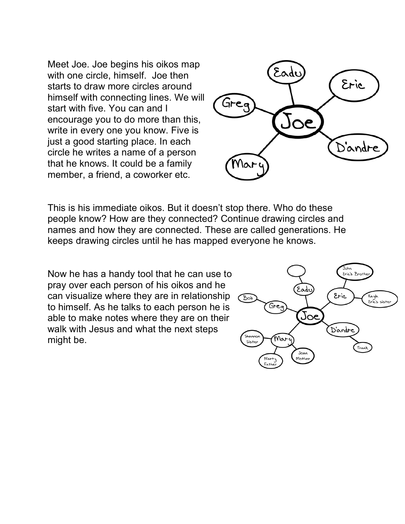Meet Joe. Joe begins his oikos map with one circle, himself. Joe then starts to draw more circles around himself with connecting lines. We will start with five. You can and I encourage you to do more than this, write in every one you know. Five is just a good starting place. In each circle he writes a name of a person that he knows. It could be a family member, a friend, a coworker etc.



This is his immediate oikos. But it doesn't stop there. Who do these people know? How are they connected? Continue drawing circles and names and how they are connected. These are called generations. He keeps drawing circles until he has mapped everyone he knows.

Now he has a handy tool that he can use to pray over each person of his oikos and he can visualize where they are in relationship to himself. As he talks to each person he is able to make notes where they are on their walk with Jesus and what the next steps might be.

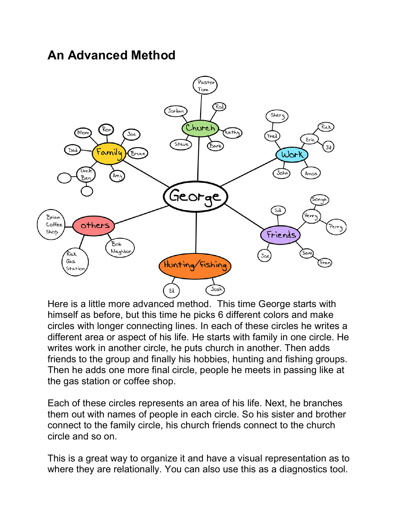## **An Advanced Method**



Here is a little more advanced method. This time George starts with himself as before, but this time he picks 6 different colors and make circles with longer connecting lines. In each of these circles he writes a different area or aspect of his life. He starts with family in one circle. He writes work in another circle, he puts church in another. Then adds friends to the group and finally his hobbies, hunting and fishing groups. Then he adds one more final circle, people he meets in passing like at the gas station or coffee shop.

Each of these circles represents an area of his life. Next, he branches them out with names of people in each circle. So his sister and brother connect to the family circle, his church friends connect to the church circle and so on.

This is a great way to organize it and have a visual representation as to where they are relationally. You can also use this as a diagnostics tool.